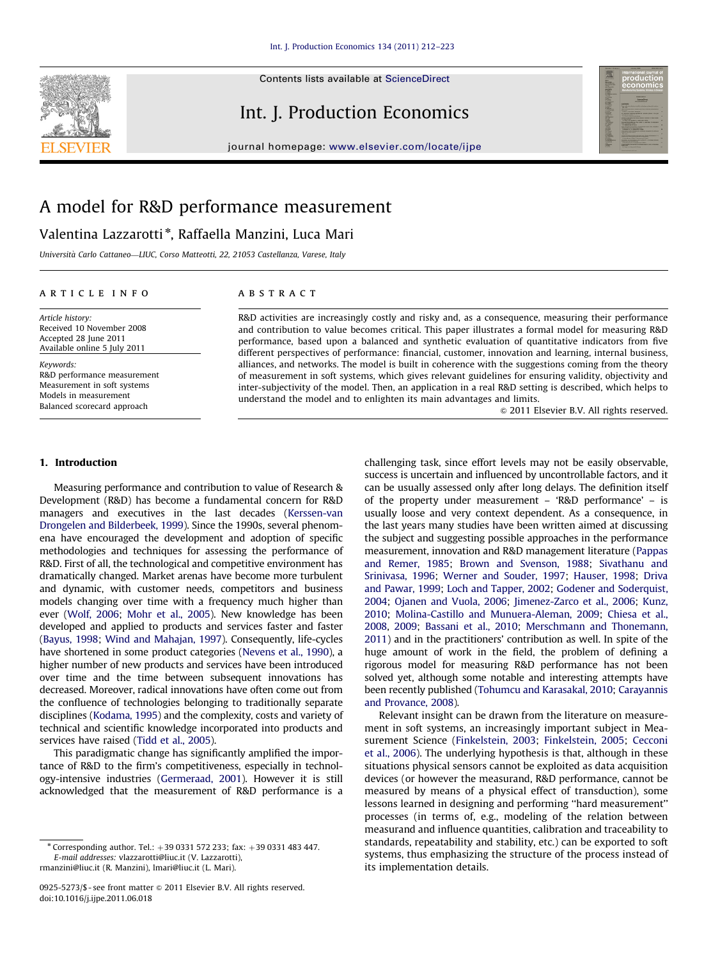Contents lists available at ScienceDirect

## Int. J. Production Economics



journal homepage: <www.elsevier.com/locate/ijpe>

# A model for R&D performance measurement

### Valentina Lazzarotti\*, Raffaella Manzini, Luca Mari

Università Carlo Cattaneo—LIUC, Corso Matteotti, 22, 21053 Castellanza, Varese, Italy

#### article info

Article history: Received 10 November 2008 Accepted 28 June 2011 Available online 5 July 2011

Keywords: R&D performance measurement Measurement in soft systems Models in measurement Balanced scorecard approach

#### **ABSTRACT**

R&D activities are increasingly costly and risky and, as a consequence, measuring their performance and contribution to value becomes critical. This paper illustrates a formal model for measuring R&D performance, based upon a balanced and synthetic evaluation of quantitative indicators from five different perspectives of performance: financial, customer, innovation and learning, internal business, alliances, and networks. The model is built in coherence with the suggestions coming from the theory of measurement in soft systems, which gives relevant guidelines for ensuring validity, objectivity and inter-subjectivity of the model. Then, an application in a real R&D setting is described, which helps to understand the model and to enlighten its main advantages and limits.

 $@$  2011 Elsevier B.V. All rights reserved.

#### 1. Introduction

Measuring performance and contribution to value of Research & Development (R&D) has become a fundamental concern for R&D managers and executives in the last decades [\(Kerssen-van](#page--1-0) [Drongelen and Bilderbeek, 1999\)](#page--1-0). Since the 1990s, several phenomena have encouraged the development and adoption of specific methodologies and techniques for assessing the performance of R&D. First of all, the technological and competitive environment has dramatically changed. Market arenas have become more turbulent and dynamic, with customer needs, competitors and business models changing over time with a frequency much higher than ever ([Wolf, 2006](#page--1-0); [Mohr et al., 2005\)](#page--1-0). New knowledge has been developed and applied to products and services faster and faster ([Bayus, 1998](#page--1-0); [Wind and Mahajan, 1997](#page--1-0)). Consequently, life-cycles have shortened in some product categories ([Nevens et al., 1990](#page--1-0)), a higher number of new products and services have been introduced over time and the time between subsequent innovations has decreased. Moreover, radical innovations have often come out from the confluence of technologies belonging to traditionally separate disciplines [\(Kodama, 1995](#page--1-0)) and the complexity, costs and variety of technical and scientific knowledge incorporated into products and services have raised [\(Tidd et al., 2005](#page--1-0)).

This paradigmatic change has significantly amplified the importance of R&D to the firm's competitiveness, especially in technology-intensive industries [\(Germeraad, 2001\)](#page--1-0). However it is still acknowledged that the measurement of R&D performance is a

challenging task, since effort levels may not be easily observable, success is uncertain and influenced by uncontrollable factors, and it can be usually assessed only after long delays. The definition itself of the property under measurement – 'R&D performance' – is usually loose and very context dependent. As a consequence, in the last years many studies have been written aimed at discussing the subject and suggesting possible approaches in the performance measurement, innovation and R&D management literature ([Pappas](#page--1-0) [and Remer, 1985;](#page--1-0) [Brown and Svenson, 1988](#page--1-0); [Sivathanu and](#page--1-0) [Srinivasa, 1996;](#page--1-0) [Werner and Souder, 1997;](#page--1-0) [Hauser, 1998;](#page--1-0) [Driva](#page--1-0) [and Pawar, 1999;](#page--1-0) [Loch and Tapper, 2002](#page--1-0); [Godener and Soderquist,](#page--1-0) [2004](#page--1-0); [Ojanen and Vuola, 2006](#page--1-0); [Jimenez-Zarco et al., 2006;](#page--1-0) [Kunz,](#page--1-0) [2010](#page--1-0); [Molina-Castillo and Munuera-Aleman, 2009](#page--1-0); [Chiesa et al.,](#page--1-0) [2008](#page--1-0), [2009;](#page--1-0) [Bassani et al., 2010](#page--1-0); [Merschmann and Thonemann,](#page--1-0) [2011](#page--1-0)) and in the practitioners' contribution as well. In spite of the huge amount of work in the field, the problem of defining a rigorous model for measuring R&D performance has not been solved yet, although some notable and interesting attempts have been recently published ([Tohumcu and Karasakal, 2010;](#page--1-0) [Carayannis](#page--1-0) [and Provance, 2008](#page--1-0)).

Relevant insight can be drawn from the literature on measurement in soft systems, an increasingly important subject in Measurement Science [\(Finkelstein, 2003](#page--1-0); [Finkelstein, 2005;](#page--1-0) [Cecconi](#page--1-0) [et al., 2006](#page--1-0)). The underlying hypothesis is that, although in these situations physical sensors cannot be exploited as data acquisition devices (or however the measurand, R&D performance, cannot be measured by means of a physical effect of transduction), some lessons learned in designing and performing ''hard measurement'' processes (in terms of, e.g., modeling of the relation between measurand and influence quantities, calibration and traceability to standards, repeatability and stability, etc.) can be exported to soft systems, thus emphasizing the structure of the process instead of its implementation details.

 $*$  Corresponding author. Tel.:  $+39 0331 572 233$ ; fax:  $+39 0331 483 447$ . E-mail addresses: [vlazzarotti@liuc.it \(V. Lazzarotti\)](mailto:vlazzarotti@liuc.it), [rmanzini@liuc.it \(R. Manzini\),](mailto:rmanzini@liuc.it) [lmari@liuc.it \(L. Mari\).](mailto:lmari@liuc.it)

<sup>0925-5273/\$ -</sup> see front matter  $\circ$  2011 Elsevier B.V. All rights reserved. doi:[10.1016/j.ijpe.2011.06.018](dx.doi.org/10.1016/j.ijpe.2011.06.018)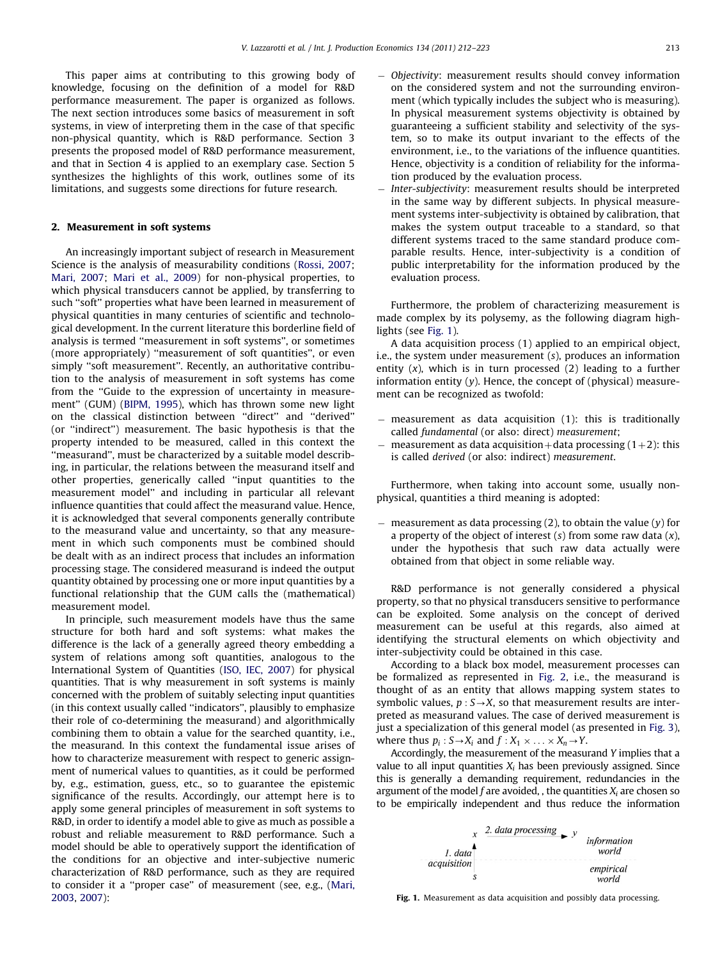This paper aims at contributing to this growing body of knowledge, focusing on the definition of a model for R&D performance measurement. The paper is organized as follows. The next section introduces some basics of measurement in soft systems, in view of interpreting them in the case of that specific non-physical quantity, which is R&D performance. Section 3 presents the proposed model of R&D performance measurement, and that in Section 4 is applied to an exemplary case. Section 5 synthesizes the highlights of this work, outlines some of its limitations, and suggests some directions for future research.

#### 2. Measurement in soft systems

An increasingly important subject of research in Measurement Science is the analysis of measurability conditions ([Rossi, 2007;](#page--1-0) [Mari, 2007](#page--1-0); [Mari et al., 2009\)](#page--1-0) for non-physical properties, to which physical transducers cannot be applied, by transferring to such ''soft'' properties what have been learned in measurement of physical quantities in many centuries of scientific and technological development. In the current literature this borderline field of analysis is termed ''measurement in soft systems'', or sometimes (more appropriately) ''measurement of soft quantities'', or even simply ''soft measurement''. Recently, an authoritative contribution to the analysis of measurement in soft systems has come from the "Guide to the expression of uncertainty in measurement'' (GUM) ([BIPM, 1995](#page--1-0)), which has thrown some new light on the classical distinction between ''direct'' and ''derived'' (or ''indirect'') measurement. The basic hypothesis is that the property intended to be measured, called in this context the ''measurand'', must be characterized by a suitable model describing, in particular, the relations between the measurand itself and other properties, generically called ''input quantities to the measurement model'' and including in particular all relevant influence quantities that could affect the measurand value. Hence, it is acknowledged that several components generally contribute to the measurand value and uncertainty, so that any measurement in which such components must be combined should be dealt with as an indirect process that includes an information processing stage. The considered measurand is indeed the output quantity obtained by processing one or more input quantities by a functional relationship that the GUM calls the (mathematical) measurement model.

In principle, such measurement models have thus the same structure for both hard and soft systems: what makes the difference is the lack of a generally agreed theory embedding a system of relations among soft quantities, analogous to the International System of Quantities ([ISO, IEC, 2007\)](#page--1-0) for physical quantities. That is why measurement in soft systems is mainly concerned with the problem of suitably selecting input quantities (in this context usually called ''indicators'', plausibly to emphasize their role of co-determining the measurand) and algorithmically combining them to obtain a value for the searched quantity, i.e., the measurand. In this context the fundamental issue arises of how to characterize measurement with respect to generic assignment of numerical values to quantities, as it could be performed by, e.g., estimation, guess, etc., so to guarantee the epistemic significance of the results. Accordingly, our attempt here is to apply some general principles of measurement in soft systems to R&D, in order to identify a model able to give as much as possible a robust and reliable measurement to R&D performance. Such a model should be able to operatively support the identification of the conditions for an objective and inter-subjective numeric characterization of R&D performance, such as they are required to consider it a ''proper case'' of measurement (see, e.g., ([Mari,](#page--1-0) [2003,](#page--1-0) [2007](#page--1-0)):

- - Objectivity: measurement results should convey information on the considered system and not the surrounding environment (which typically includes the subject who is measuring). In physical measurement systems objectivity is obtained by guaranteeing a sufficient stability and selectivity of the system, so to make its output invariant to the effects of the environment, i.e., to the variations of the influence quantities. Hence, objectivity is a condition of reliability for the information produced by the evaluation process.
- - Inter-subjectivity: measurement results should be interpreted in the same way by different subjects. In physical measurement systems inter-subjectivity is obtained by calibration, that makes the system output traceable to a standard, so that different systems traced to the same standard produce comparable results. Hence, inter-subjectivity is a condition of public interpretability for the information produced by the evaluation process.

Furthermore, the problem of characterizing measurement is made complex by its polysemy, as the following diagram highlights (see Fig. 1).

A data acquisition process (1) applied to an empirical object, i.e., the system under measurement (s), produces an information entity  $(x)$ , which is in turn processed  $(2)$  leading to a further information entity (y). Hence, the concept of (physical) measurement can be recognized as twofold:

- measurement as data acquisition (1): this is traditionally called fundamental (or also: direct) measurement;
- measurement as data acquisition + data processing  $(1+2)$ : this is called derived (or also: indirect) measurement.

Furthermore, when taking into account some, usually nonphysical, quantities a third meaning is adopted:

measurement as data processing  $(2)$ , to obtain the value  $(y)$  for a property of the object of interest  $(s)$  from some raw data  $(x)$ , under the hypothesis that such raw data actually were obtained from that object in some reliable way.

R&D performance is not generally considered a physical property, so that no physical transducers sensitive to performance can be exploited. Some analysis on the concept of derived measurement can be useful at this regards, also aimed at identifying the structural elements on which objectivity and inter-subjectivity could be obtained in this case.

According to a black box model, measurement processes can be formalized as represented in [Fig. 2](#page--1-0), i.e., the measurand is thought of as an entity that allows mapping system states to symbolic values,  $p : S \rightarrow X$ , so that measurement results are interpreted as measurand values. The case of derived measurement is just a specialization of this general model (as presented in [Fig. 3\)](#page--1-0), where thus  $p_i$ :  $S \rightarrow X_i$  and  $f : X_1 \times \ldots \times X_n \rightarrow Y$ .

Accordingly, the measurement of the measurand Y implies that a value to all input quantities  $X_i$  has been previously assigned. Since this is generally a demanding requirement, redundancies in the argument of the model  $f$  are avoided, , the quantities  $X_i$  are chosen so to be empirically independent and thus reduce the information



Fig. 1. Measurement as data acquisition and possibly data processing.